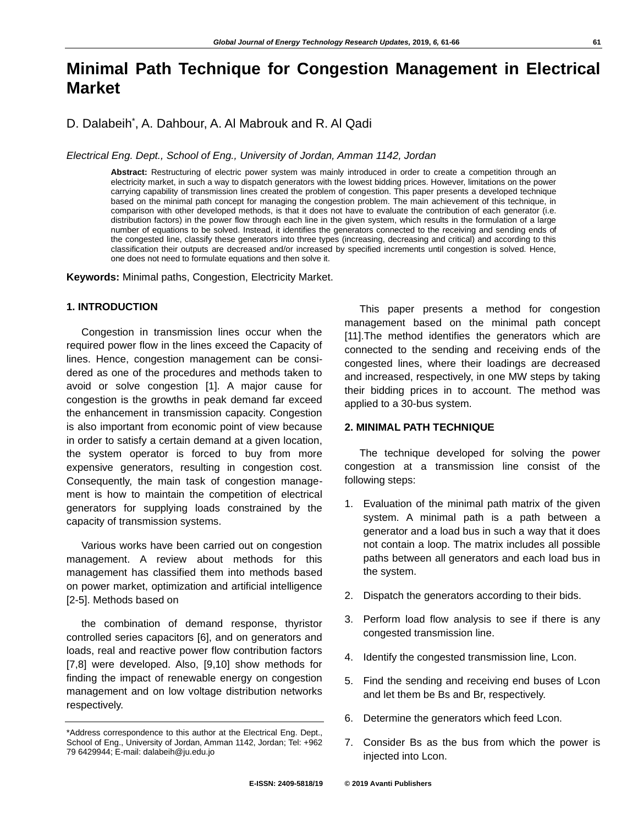# **Minimal Path Technique for Congestion Management in Electrical Market**

D. Dalabeih\* , A. Dahbour, A. Al Mabrouk and R. Al Qadi

*Electrical Eng. Dept., School of Eng., University of Jordan, Amman 1142, Jordan*

**Abstract:** Restructuring of electric power system was mainly introduced in order to create a competition through an electricity market, in such a way to dispatch generators with the lowest bidding prices. However, limitations on the power carrying capability of transmission lines created the problem of congestion. This paper presents a developed technique based on the minimal path concept for managing the congestion problem. The main achievement of this technique, in comparison with other developed methods, is that it does not have to evaluate the contribution of each generator (i.e. distribution factors) in the power flow through each line in the given system, which results in the formulation of a large number of equations to be solved. Instead, it identifies the generators connected to the receiving and sending ends of the congested line, classify these generators into three types (increasing, decreasing and critical) and according to this classification their outputs are decreased and/or increased by specified increments until congestion is solved. Hence, one does not need to formulate equations and then solve it.

**Keywords:** Minimal paths, Congestion, Electricity Market.

#### **1. INTRODUCTION**

Congestion in transmission lines occur when the required power flow in the lines exceed the Capacity of lines. Hence, congestion management can be considered as one of the procedures and methods taken to avoid or solve congestion [1]. A major cause for congestion is the growths in peak demand far exceed the enhancement in transmission capacity. Congestion is also important from economic point of view because in order to satisfy a certain demand at a given location, the system operator is forced to buy from more expensive generators, resulting in congestion cost. Consequently, the main task of congestion management is how to maintain the competition of electrical generators for supplying loads constrained by the capacity of transmission systems.

Various works have been carried out on congestion management. A review about methods for this management has classified them into methods based on power market, optimization and artificial intelligence [2-5]. Methods based on

the combination of demand response, thyristor controlled series capacitors [6], and on generators and loads, real and reactive power flow contribution factors [7,8] were developed. Also, [9,10] show methods for finding the impact of renewable energy on congestion management and on low voltage distribution networks respectively.

This paper presents a method for congestion management based on the minimal path concept [11].The method identifies the generators which are connected to the sending and receiving ends of the congested lines, where their loadings are decreased and increased, respectively, in one MW steps by taking their bidding prices in to account. The method was applied to a 30-bus system.

## **2. MINIMAL PATH TECHNIQUE**

The technique developed for solving the power congestion at a transmission line consist of the following steps:

- 1. Evaluation of the minimal path matrix of the given system. A minimal path is a path between a generator and a load bus in such a way that it does not contain a loop. The matrix includes all possible paths between all generators and each load bus in the system.
- 2. Dispatch the generators according to their bids.
- 3. Perform load flow analysis to see if there is any congested transmission line.
- 4. Identify the congested transmission line, Lcon.
- 5. Find the sending and receiving end buses of Lcon and let them be Bs and Br, respectively.
- 6. Determine the generators which feed Lcon.
- 7. Consider Bs as the bus from which the power is injected into Lcon.

<sup>\*</sup>Address correspondence to this author at the Electrical Eng. Dept., School of Eng., University of Jordan, Amman 1142, Jordan; Tel: +962 79 6429944; E-mail: dalabeih@ju.edu.jo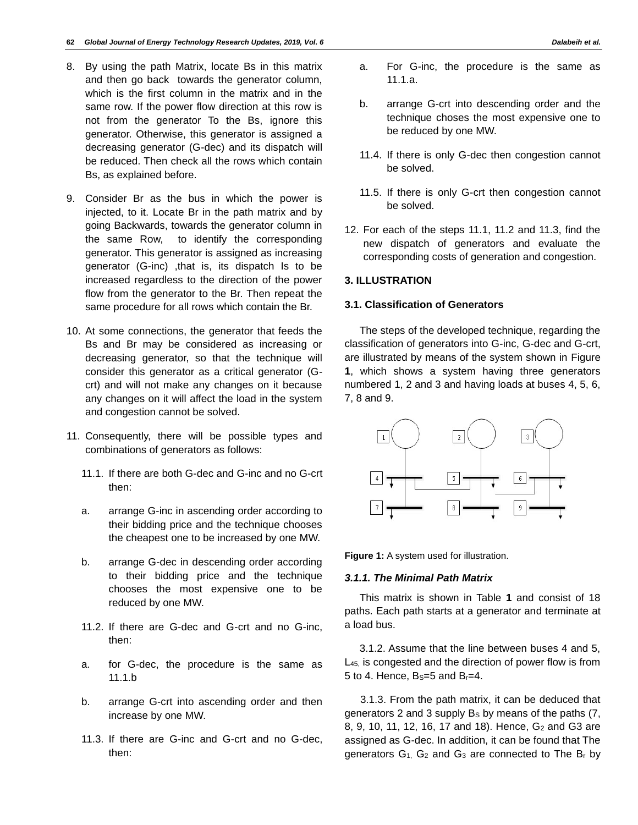- 8. By using the path Matrix, locate Bs in this matrix and then go back towards the generator column, which is the first column in the matrix and in the same row. If the power flow direction at this row is not from the generator To the Bs, ignore this generator. Otherwise, this generator is assigned a decreasing generator (G-dec) and its dispatch will be reduced. Then check all the rows which contain Bs, as explained before.
- 9. Consider Br as the bus in which the power is injected, to it. Locate Br in the path matrix and by going Backwards, towards the generator column in the same Row, to identify the corresponding generator. This generator is assigned as increasing generator (G-inc) ,that is, its dispatch Is to be increased regardless to the direction of the power flow from the generator to the Br. Then repeat the same procedure for all rows which contain the Br.
- 10. At some connections, the generator that feeds the Bs and Br may be considered as increasing or decreasing generator, so that the technique will consider this generator as a critical generator (Gcrt) and will not make any changes on it because any changes on it will affect the load in the system and congestion cannot be solved.
- 11. Consequently, there will be possible types and combinations of generators as follows:
	- 11.1. If there are both G-dec and G-inc and no G-crt then:
	- a. arrange G-inc in ascending order according to their bidding price and the technique chooses the cheapest one to be increased by one MW.
	- b. arrange G-dec in descending order according to their bidding price and the technique chooses the most expensive one to be reduced by one MW.
	- 11.2. If there are G-dec and G-crt and no G-inc, then:
	- a. for G-dec, the procedure is the same as 11.1.b
	- b. arrange G-crt into ascending order and then increase by one MW.
	- 11.3. If there are G-inc and G-crt and no G-dec, then:
- a. For G-inc, the procedure is the same as 11.1.a.
- b. arrange G-crt into descending order and the technique choses the most expensive one to be reduced by one MW.
- 11.4. If there is only G-dec then congestion cannot be solved.
- 11.5. If there is only G-crt then congestion cannot be solved.
- 12. For each of the steps 11.1, 11.2 and 11.3, find the new dispatch of generators and evaluate the corresponding costs of generation and congestion.

# **3. ILLUSTRATION**

## **3.1. Classification of Generators**

The steps of the developed technique, regarding the classification of generators into G-inc, G-dec and G-crt, are illustrated by means of the system shown in Figure **1**, which shows a system having three generators numbered 1, 2 and 3 and having loads at buses 4, 5, 6, 7, 8 and 9.



**Figure 1:** A system used for illustration.

# *3.1.1. The Minimal Path Matrix*

This matrix is shown in Table **1** and consist of 18 paths. Each path starts at a generator and terminate at a load bus.

3.1.2. Assume that the line between buses 4 and 5, L<sub>45</sub> is congested and the direction of power flow is from 5 to 4. Hence,  $B_s = 5$  and  $B_r = 4$ .

3.1.3. From the path matrix, it can be deduced that generators 2 and 3 supply Bs by means of the paths (7, 8, 9, 10, 11, 12, 16, 17 and 18). Hence, G<sub>2</sub> and G3 are assigned as G-dec. In addition, it can be found that The generators  $G_1$ ,  $G_2$  and  $G_3$  are connected to The  $B_r$  by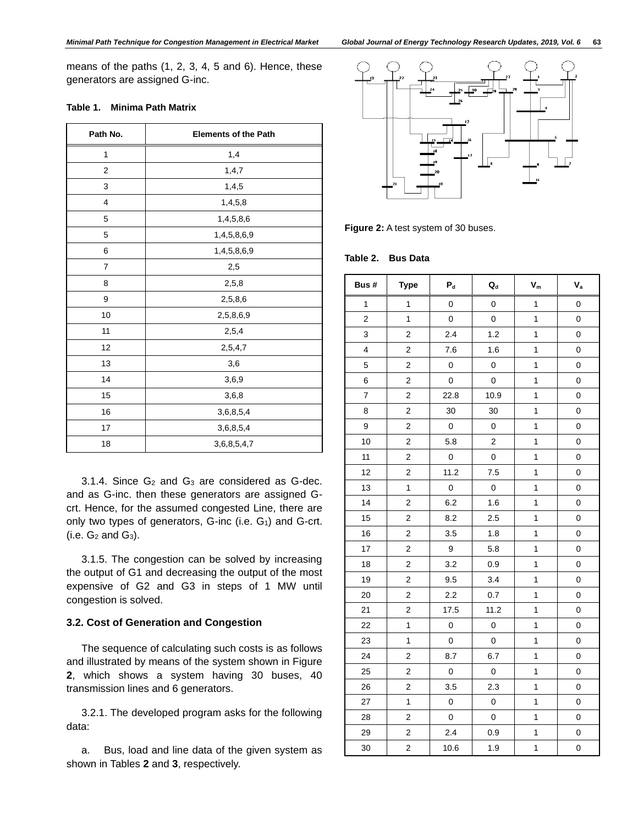means of the paths (1, 2, 3, 4, 5 and 6). Hence, these generators are assigned G-inc.

| Path No.       | <b>Elements of the Path</b> |  |  |
|----------------|-----------------------------|--|--|
| 1              | 1,4                         |  |  |
| $\overline{2}$ | 1, 4, 7                     |  |  |
| 3              | 1,4,5                       |  |  |
| 4              | 1,4,5,8                     |  |  |
| 5              | 1,4,5,8,6                   |  |  |
| 5              | 1,4,5,8,6,9                 |  |  |
| 6              | 1,4,5,8,6,9                 |  |  |
| $\overline{7}$ | 2,5                         |  |  |
| 8              | 2,5,8                       |  |  |
| 9              | 2,5,8,6                     |  |  |
| 10             | 2,5,8,6,9                   |  |  |
| 11             | 2,5,4                       |  |  |
| 12             | 2,5,4,7                     |  |  |
| 13             | 3,6                         |  |  |
| 14             | 3,6,9                       |  |  |
| 15             | 3,6,8                       |  |  |
| 16             | 3,6,8,5,4                   |  |  |
| 17             | 3,6,8,5,4                   |  |  |
| 18             | 3,6,8,5,4,7                 |  |  |

#### **Table 1. Minima Path Matrix**

3.1.4. Since  $G_2$  and  $G_3$  are considered as  $G$ -dec. and as G-inc. then these generators are assigned Gcrt. Hence, for the assumed congested Line, there are only two types of generators,  $G$ -inc (i.e.  $G_1$ ) and  $G$ -crt.  $(i.e. G<sub>2</sub> and G<sub>3</sub>).$ 

3.1.5. The congestion can be solved by increasing the output of G1 and decreasing the output of the most expensive of G2 and G3 in steps of 1 MW until congestion is solved.

# **3.2. Cost of Generation and Congestion**

The sequence of calculating such costs is as follows and illustrated by means of the system shown in Figure , which shows a system having 30 buses, 40 transmission lines and 6 generators.

3.2.1. The developed program asks for the following data:

a. Bus, load and line data of the given system as shown in Tables **2** and **3**, respectively.



**Figure 2:** A test system of 30 buses.

#### **Table 2. Bus Data**

| Bus #          | <b>Type</b>             | $\mathsf{P}_{\sf d}$ | $\mathbf{Q}_{\rm d}$ | $\mathbf{V}_{\mathrm{m}}$ | $\mathsf{V}_\mathsf{a}$ |
|----------------|-------------------------|----------------------|----------------------|---------------------------|-------------------------|
| $\mathbf{1}$   | $\mathbf{1}$            | $\mathbf 0$          | $\mathsf 0$          | $\mathbf{1}$              | $\pmb{0}$               |
| $\overline{c}$ | $\mathbf{1}$            | $\mathsf 0$          | $\mathsf 0$          | 1                         | $\mathbf 0$             |
| 3              | $\overline{c}$          | 2.4                  | 1.2                  | 1                         | $\mathbf 0$             |
| $\overline{4}$ | $\mathbf 2$             | 7.6                  | 1.6                  | 1                         | 0                       |
| 5              | $\overline{\mathbf{c}}$ | 0                    | 0                    | 1                         | $\boldsymbol{0}$        |
| 6              | $\mathbf 2$             | $\mathsf 0$          | 0                    | 1                         | $\boldsymbol{0}$        |
| $\overline{7}$ | $\overline{\mathbf{c}}$ | 22.8                 | 10.9                 | $\mathbf{1}$              | $\pmb{0}$               |
| 8              | 2                       | 30                   | 30                   | 1                         | $\pmb{0}$               |
| 9              | $\overline{\mathbf{c}}$ | $\mathbf 0$          | $\mathsf 0$          | 1                         | 0                       |
| 10             | $\overline{\mathbf{c}}$ | 5.8                  | $\mathbf 2$          | $\mathbf{1}$              | $\boldsymbol{0}$        |
| 11             | $\overline{c}$          | $\pmb{0}$            | $\mathbf 0$          | $\mathbf{1}$              | $\mathbf 0$             |
| 12             | $\overline{\mathbf{c}}$ | 11.2                 | 7.5                  | $\mathbf{1}$              | $\mathbf 0$             |
| 13             | $\mathbf 1$             | $\mathsf 0$          | $\mathsf 0$          | 1                         | $\mathbf 0$             |
| 14             | $\overline{\mathbf{c}}$ | 6.2                  | 1.6                  | 1                         | $\mathbf 0$             |
| 15             | $\overline{\mathbf{c}}$ | 8.2                  | 2.5                  | $\mathbf{1}$              | $\boldsymbol{0}$        |
| 16             | $\overline{2}$          | 3.5                  | 1.8                  | $\mathbf{1}$              | $\mathbf 0$             |
| 17             | $\overline{\mathbf{c}}$ | 9                    | 5.8                  | 1                         | $\overline{0}$          |
| 18             | $\overline{\mathbf{c}}$ | 3.2                  | 1<br>0.9             |                           | $\mathbf 0$             |
| 19             | $\overline{\mathbf{c}}$ | 9.5                  | 3.4                  | 1                         | $\boldsymbol{0}$        |
| 20             | $\overline{\mathbf{c}}$ | 2.2                  | 0.7                  | 1                         | $\pmb{0}$               |
| 21             | $\overline{\mathbf{c}}$ | 17.5                 | 11.2                 | $\mathbf{1}$              | $\mathbf 0$             |
| 22             | 1                       | 0                    | $\mathbf 0$          | 1                         | 0                       |
| 23             | $\mathbf{1}$            | $\mathsf 0$          | $\mathsf 0$          | $\mathbf{1}$              | 0                       |
| 24             | $\overline{\mathbf{c}}$ | 8.7                  | 6.7                  | 1                         | $\mathbf 0$             |
| 25             | $\overline{\mathbf{c}}$ | $\pmb{0}$            | $\mathsf 0$          | $\mathbf{1}$              | $\mathbf 0$             |
| 26             | $\overline{c}$          | 3.5                  | 2.3                  | $\mathbf{1}$              | $\pmb{0}$               |
| 27             | $\mathbf{1}$            | $\mathsf 0$          | $\mathsf 0$          | 1                         | $\pmb{0}$               |
| 28             | $\overline{\mathbf{c}}$ | $\mathsf 0$          | $\mathsf 0$          | $\mathbf{1}$              | $\boldsymbol{0}$        |
| 29             | $\overline{2}$          | 2.4                  | 0.9                  | 1                         | $\mathbf 0$             |
| 30             | $\overline{c}$          | 10.6                 | 1.9                  | $\mathbf{1}$              | $\pmb{0}$               |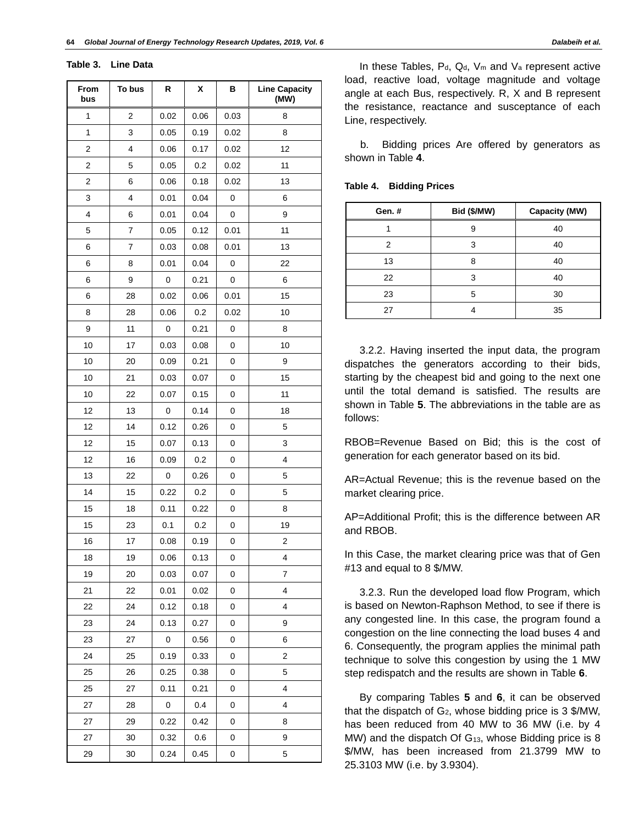**Table 3. Line Data** 

| From<br>bus             | To bus | R    | χ    | в    | <b>Line Capacity</b><br>(MW) |
|-------------------------|--------|------|------|------|------------------------------|
| 1                       | 2      | 0.02 | 0.06 | 0.03 | 8                            |
| 1                       | 3      | 0.05 | 0.19 | 0.02 | 8                            |
| 2                       | 4      | 0.06 | 0.17 | 0.02 | 12                           |
| $\overline{\mathbf{c}}$ | 5      | 0.05 | 0.2  | 0.02 | 11                           |
| $\overline{2}$          | 6      | 0.06 | 0.18 | 0.02 | 13                           |
| 3                       | 4      | 0.01 | 0.04 | 0    | 6                            |
| 4                       | 6      | 0.01 | 0.04 | 0    | 9                            |
| 5                       | 7      | 0.05 | 0.12 | 0.01 | 11                           |
| 6                       | 7      | 0.03 | 0.08 | 0.01 | 13                           |
| 6                       | 8      | 0.01 | 0.04 | 0    | 22                           |
| 6                       | 9      | 0    | 0.21 | 0    | 6                            |
| 6                       | 28     | 0.02 | 0.06 | 0.01 | 15                           |
| 8                       | 28     | 0.06 | 0.2  | 0.02 | 10                           |
| 9                       | 11     | 0    | 0.21 | 0    | 8                            |
| 10                      | 17     | 0.03 | 0.08 | 0    | 10                           |
| 10                      | 20     | 0.09 | 0.21 | 0    | 9                            |
| 10                      | 21     | 0.03 | 0.07 | 0    | 15                           |
| 10                      | 22     | 0.07 | 0.15 | 0    | 11                           |
| 12                      | 13     | 0    | 0.14 | 0    | 18                           |
| 12                      | 14     | 0.12 | 0.26 | 0    | 5                            |
| 12                      | 15     | 0.07 | 0.13 | 0    | 3                            |
| 12                      | 16     | 0.09 | 0.2  | 0    | 4                            |
| 13                      | 22     | 0    | 0.26 | 0    | 5                            |
| 14                      | 15     | 0.22 | 0.2  | 0    | 5                            |
| 15                      | 18     | 0.11 | 0.22 | 0    | 8                            |
| 15                      | 23     | 0.1  | 0.2  | 0    | 19                           |
| 16                      | 17     | 0.08 | 0.19 | 0    | $\overline{\mathbf{c}}$      |
| 18                      | 19     | 0.06 | 0.13 | 0    | 4                            |
| 19                      | 20     | 0.03 | 0.07 | 0    | 7                            |
| 21                      | 22     | 0.01 | 0.02 | 0    | 4                            |
| 22                      | 24     | 0.12 | 0.18 | 0    | 4                            |
| 23                      | 24     | 0.13 | 0.27 | 0    | 9                            |
| 23                      | 27     | 0    | 0.56 | 0    | 6                            |
| 24                      | 25     | 0.19 | 0.33 | 0    | 2                            |
| 25                      | 26     | 0.25 | 0.38 | 0    | 5                            |
| 25                      | 27     | 0.11 | 0.21 | 0    | 4                            |
| 27                      | 28     | 0    | 0.4  | 0    | 4                            |
| 27                      | 29     | 0.22 | 0.42 | 0    | 8                            |
| 27                      | 30     | 0.32 | 0.6  | 0    | 9                            |
| 29                      | 30     | 0.24 | 0.45 | 0    | 5                            |

In these Tables,  $P_d$ ,  $Q_d$ ,  $V_m$  and  $V_a$  represent active load, reactive load, voltage magnitude and voltage angle at each Bus, respectively. R, X and B represent the resistance, reactance and susceptance of each Line, respectively.

b. Bidding prices Are offered by generators as shown in Table **4**.

| Table 4. | <b>Bidding Prices</b> |  |
|----------|-----------------------|--|
|----------|-----------------------|--|

| Gen.# | Bid (\$/MW) | Capacity (MW) |
|-------|-------------|---------------|
|       | 9           | 40            |
| 2     | 3           | 40            |
| 13    | 8           | 40            |
| 22    | 3           | 40            |
| 23    | 5           | 30            |
| 27    |             | 35            |

3.2.2. Having inserted the input data, the program dispatches the generators according to their bids, starting by the cheapest bid and going to the next one until the total demand is satisfied. The results are shown in Table **5**. The abbreviations in the table are as follows:

RBOB=Revenue Based on Bid; this is the cost of generation for each generator based on its bid.

AR=Actual Revenue; this is the revenue based on the market clearing price.

AP=Additional Profit; this is the difference between AR and RBOB.

In this Case, the market clearing price was that of Gen #13 and equal to 8 \$/MW.

3.2.3. Run the developed load flow Program, which is based on Newton-Raphson Method, to see if there is any congested line. In this case, the program found a congestion on the line connecting the load buses 4 and 6. Consequently, the program applies the minimal path technique to solve this congestion by using the 1 MW step redispatch and the results are shown in Table **6**.

By comparing Tables **5** and **6**, it can be observed that the dispatch of  $G_2$ , whose bidding price is 3 \$/MW, has been reduced from 40 MW to 36 MW (i.e. by 4 MW) and the dispatch Of G<sub>13</sub>, whose Bidding price is 8 \$/MW, has been increased from 21.3799 MW to 25.3103 MW (i.e. by 3.9304).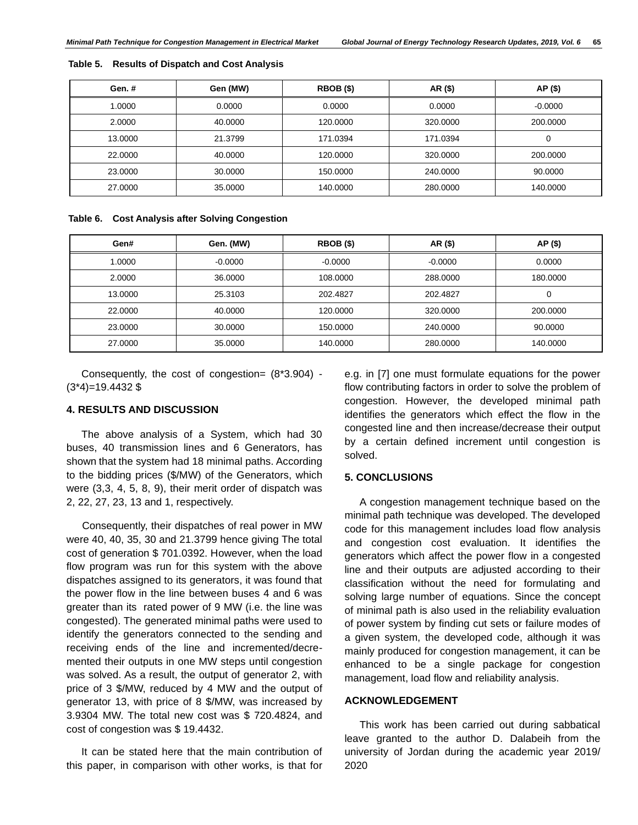| Gen.#   | Gen (MW) | RBOB (\$) | AR (\$)  | AP (\$)   |
|---------|----------|-----------|----------|-----------|
| 1.0000  | 0.0000   | 0.0000    | 0.0000   | $-0.0000$ |
| 2.0000  | 40.0000  | 120,0000  | 320,0000 | 200,0000  |
| 13,0000 | 21.3799  | 171.0394  | 171.0394 | 0         |
| 22,0000 | 40.0000  | 120,0000  | 320,0000 | 200,0000  |
| 23,0000 | 30.0000  | 150,0000  | 240,0000 | 90,0000   |
| 27,0000 | 35,0000  | 140.0000  | 280,0000 | 140.0000  |

#### **Table 5. Results of Dispatch and Cost Analysis**

#### **Table 6. Cost Analysis after Solving Congestion**

| Gen#    | Gen. (MW) | RBOB (\$) | AR (\$)   | AP (\$)  |
|---------|-----------|-----------|-----------|----------|
| 1.0000  | $-0.0000$ | $-0.0000$ | $-0.0000$ | 0.0000   |
| 2.0000  | 36,0000   | 108,0000  | 288,0000  | 180,0000 |
| 13,0000 | 25.3103   | 202.4827  | 202.4827  | 0        |
| 22,0000 | 40.0000   | 120,0000  | 320,0000  | 200,0000 |
| 23,0000 | 30,0000   | 150,0000  | 240,0000  | 90.0000  |
| 27,0000 | 35,0000   | 140.0000  | 280,0000  | 140.0000 |

Consequently, the cost of congestion= (8\*3.904) -  $(3*4)=19.4432$  \$

## **4. RESULTS AND DISCUSSION**

The above analysis of a System, which had 30 buses, 40 transmission lines and 6 Generators, has shown that the system had 18 minimal paths. According to the bidding prices (\$/MW) of the Generators, which were (3,3, 4, 5, 8, 9), their merit order of dispatch was 2, 22, 27, 23, 13 and 1, respectively.

Consequently, their dispatches of real power in MW were 40, 40, 35, 30 and 21.3799 hence giving The total cost of generation \$ 701.0392. However, when the load flow program was run for this system with the above dispatches assigned to its generators, it was found that the power flow in the line between buses 4 and 6 was greater than its rated power of 9 MW (i.e. the line was congested). The generated minimal paths were used to identify the generators connected to the sending and receiving ends of the line and incremented/decremented their outputs in one MW steps until congestion was solved. As a result, the output of generator 2, with price of 3 \$/MW, reduced by 4 MW and the output of generator 13, with price of 8 \$/MW, was increased by 3.9304 MW. The total new cost was \$ 720.4824, and cost of congestion was \$ 19.4432.

It can be stated here that the main contribution of this paper, in comparison with other works, is that for

e.g. in [7] one must formulate equations for the power flow contributing factors in order to solve the problem of congestion. However, the developed minimal path identifies the generators which effect the flow in the congested line and then increase/decrease their output by a certain defined increment until congestion is solved.

#### **5. CONCLUSIONS**

A congestion management technique based on the minimal path technique was developed. The developed code for this management includes load flow analysis and congestion cost evaluation. It identifies the generators which affect the power flow in a congested line and their outputs are adjusted according to their classification without the need for formulating and solving large number of equations. Since the concept of minimal path is also used in the reliability evaluation of power system by finding cut sets or failure modes of a given system, the developed code, although it was mainly produced for congestion management, it can be enhanced to be a single package for congestion management, load flow and reliability analysis.

## **ACKNOWLEDGEMENT**

This work has been carried out during sabbatical leave granted to the author D. Dalabeih from the university of Jordan during the academic year 2019/ 2020